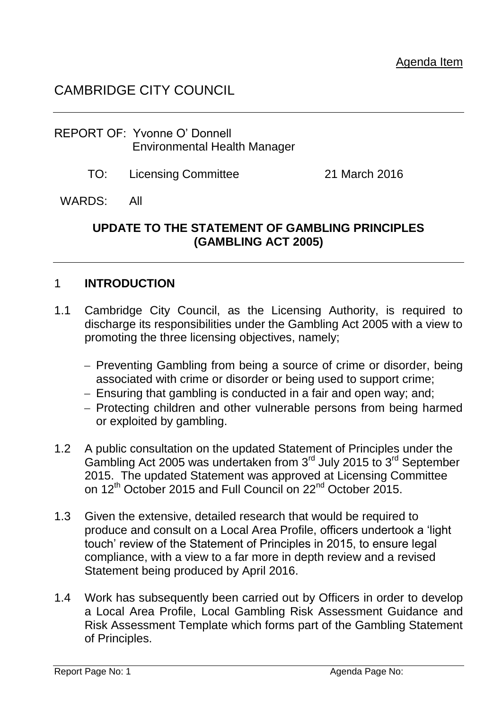# CAMBRIDGE CITY COUNCIL

#### REPORT OF: Yvonne O' Donnell Environmental Health Manager

TO: Licensing Committee 21 March 2016

#### WARDS: All

#### **UPDATE TO THE STATEMENT OF GAMBLING PRINCIPLES (GAMBLING ACT 2005)**

#### 1 **INTRODUCTION**

- 1.1 Cambridge City Council, as the Licensing Authority, is required to discharge its responsibilities under the Gambling Act 2005 with a view to promoting the three licensing objectives, namely;
	- Preventing Gambling from being a source of crime or disorder, being associated with crime or disorder or being used to support crime;
	- Ensuring that gambling is conducted in a fair and open way; and;
	- Protecting children and other vulnerable persons from being harmed or exploited by gambling.
- 1.2 A public consultation on the updated Statement of Principles under the Gambling Act 2005 was undertaken from  $3<sup>rd</sup>$  July 2015 to  $3<sup>rd</sup>$  September 2015. The updated Statement was approved at Licensing Committee on 12<sup>th</sup> October 2015 and Full Council on 22<sup>nd</sup> October 2015.
- 1.3 Given the extensive, detailed research that would be required to produce and consult on a Local Area Profile, officers undertook a 'light touch' review of the Statement of Principles in 2015, to ensure legal compliance, with a view to a far more in depth review and a revised Statement being produced by April 2016.
- 1.4 Work has subsequently been carried out by Officers in order to develop a Local Area Profile, Local Gambling Risk Assessment Guidance and Risk Assessment Template which forms part of the Gambling Statement of Principles.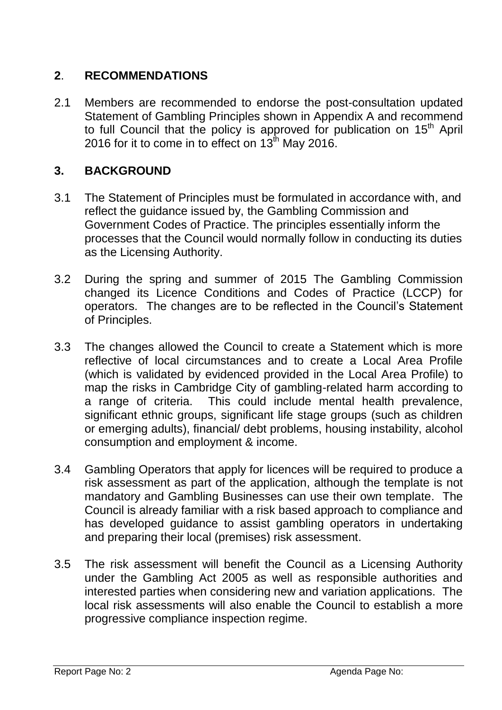### **2**. **RECOMMENDATIONS**

2.1 Members are recommended to endorse the post-consultation updated Statement of Gambling Principles shown in Appendix A and recommend to full Council that the policy is approved for publication on  $15<sup>th</sup>$  April 2016 for it to come in to effect on  $13<sup>th</sup>$  May 2016.

## **3. BACKGROUND**

- 3.1 The Statement of Principles must be formulated in accordance with, and reflect the guidance issued by, the Gambling Commission and Government Codes of Practice. The principles essentially inform the processes that the Council would normally follow in conducting its duties as the Licensing Authority.
- 3.2 During the spring and summer of 2015 The Gambling Commission changed its Licence Conditions and Codes of Practice (LCCP) for operators. The changes are to be reflected in the Council's Statement of Principles.
- 3.3 The changes allowed the Council to create a Statement which is more reflective of local circumstances and to create a Local Area Profile (which is validated by evidenced provided in the Local Area Profile) to map the risks in Cambridge City of gambling-related harm according to a range of criteria. This could include mental health prevalence, significant ethnic groups, significant life stage groups (such as children or emerging adults), financial/ debt problems, housing instability, alcohol consumption and employment & income.
- 3.4 Gambling Operators that apply for licences will be required to produce a risk assessment as part of the application, although the template is not mandatory and Gambling Businesses can use their own template. The Council is already familiar with a risk based approach to compliance and has developed guidance to assist gambling operators in undertaking and preparing their local (premises) risk assessment.
- 3.5 The risk assessment will benefit the Council as a Licensing Authority under the Gambling Act 2005 as well as responsible authorities and interested parties when considering new and variation applications. The local risk assessments will also enable the Council to establish a more progressive compliance inspection regime.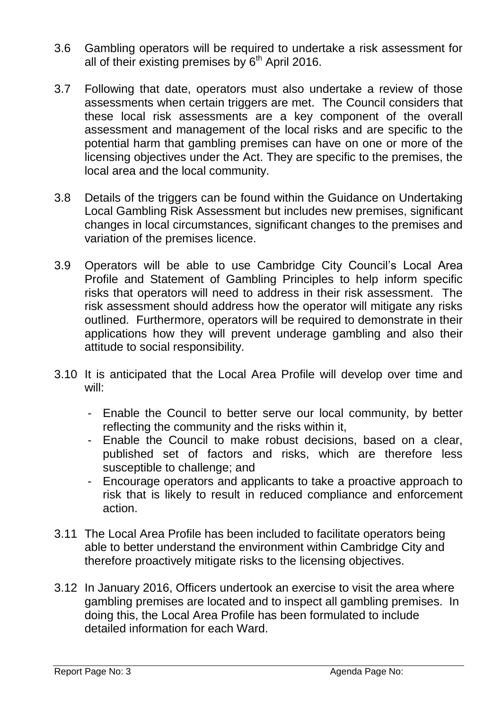- 3.6 Gambling operators will be required to undertake a risk assessment for all of their existing premises by  $6<sup>th</sup>$  April 2016.
- 3.7 Following that date, operators must also undertake a review of those assessments when certain triggers are met. The Council considers that these local risk assessments are a key component of the overall assessment and management of the local risks and are specific to the potential harm that gambling premises can have on one or more of the licensing objectives under the Act. They are specific to the premises, the local area and the local community.
- 3.8 Details of the triggers can be found within the Guidance on Undertaking Local Gambling Risk Assessment but includes new premises, significant changes in local circumstances, significant changes to the premises and variation of the premises licence.
- 3.9 Operators will be able to use Cambridge City Council's Local Area Profile and Statement of Gambling Principles to help inform specific risks that operators will need to address in their risk assessment. The risk assessment should address how the operator will mitigate any risks outlined. Furthermore, operators will be required to demonstrate in their applications how they will prevent underage gambling and also their attitude to social responsibility.
- 3.10 It is anticipated that the Local Area Profile will develop over time and will:
	- Enable the Council to better serve our local community, by better reflecting the community and the risks within it,
	- Enable the Council to make robust decisions, based on a clear, published set of factors and risks, which are therefore less susceptible to challenge; and
	- Encourage operators and applicants to take a proactive approach to risk that is likely to result in reduced compliance and enforcement action.
- 3.11 The Local Area Profile has been included to facilitate operators being able to better understand the environment within Cambridge City and therefore proactively mitigate risks to the licensing objectives.
- 3.12 In January 2016, Officers undertook an exercise to visit the area where gambling premises are located and to inspect all gambling premises. In doing this, the Local Area Profile has been formulated to include detailed information for each Ward.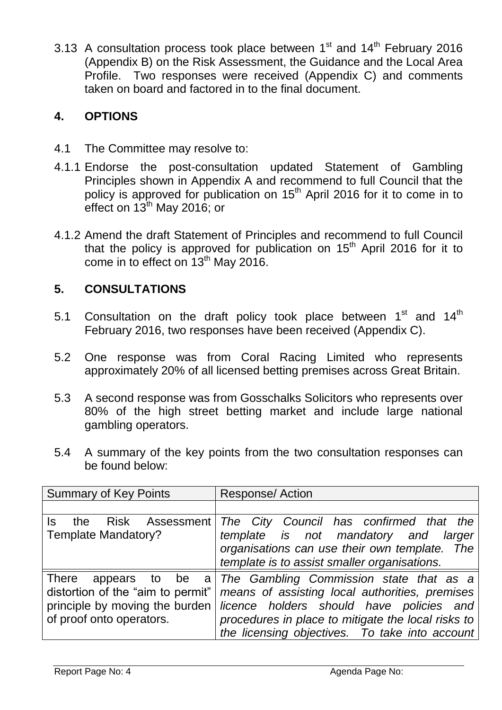3.13 A consultation process took place between  $1<sup>st</sup>$  and  $14<sup>th</sup>$  February 2016 (Appendix B) on the Risk Assessment, the Guidance and the Local Area Profile. Two responses were received (Appendix C) and comments taken on board and factored in to the final document.

## **4. OPTIONS**

- 4.1 The Committee may resolve to:
- 4.1.1 Endorse the post-consultation updated Statement of Gambling Principles shown in Appendix A and recommend to full Council that the policy is approved for publication on 15<sup>th</sup> April 2016 for it to come in to effect on 13<sup>th</sup> May 2016; or
- 4.1.2 Amend the draft Statement of Principles and recommend to full Council that the policy is approved for publication on  $15<sup>th</sup>$  April 2016 for it to come in to effect on  $13<sup>th</sup>$  May 2016.

# **5. CONSULTATIONS**

- 5.1 Consultation on the draft policy took place between  $1^{\text{st}}$  and  $14^{\text{th}}$ February 2016, two responses have been received (Appendix C).
- 5.2 One response was from Coral Racing Limited who represents approximately 20% of all licensed betting premises across Great Britain.
- 5.3 A second response was from Gosschalks Solicitors who represents over 80% of the high street betting market and include large national gambling operators.
- 5.4 A summary of the key points from the two consultation responses can be found below:

| <b>Summary of Key Points</b>        | <b>Response/Action</b>                             |
|-------------------------------------|----------------------------------------------------|
|                                     |                                                    |
| Risk Assessment<br>the<br>Is.       | The City Council has confirmed that the            |
| <b>Template Mandatory?</b>          | template is not mandatory and<br>larger            |
|                                     | organisations can use their own template. The      |
|                                     | template is to assist smaller organisations.       |
| <b>There</b><br>appears to<br>be al | The Gambling Commission state that as a            |
| distortion of the "aim to permit"   | means of assisting local authorities, premises     |
| principle by moving the burden      | licence holders should have policies and           |
| of proof onto operators.            | procedures in place to mitigate the local risks to |
|                                     | the licensing objectives. To take into account     |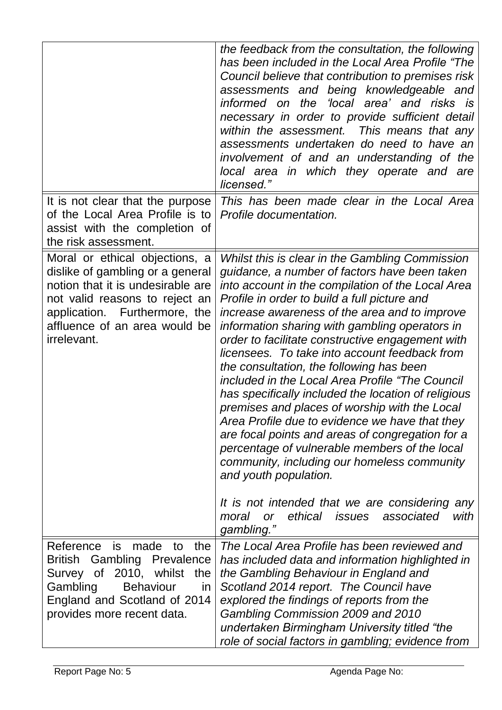|                                                                                                                                                                                                                                   | the feedback from the consultation, the following<br>has been included in the Local Area Profile "The<br>Council believe that contribution to premises risk<br>assessments and being knowledgeable and<br>informed on the 'local area' and risks is<br>necessary in order to provide sufficient detail<br>within the assessment. This means that any<br>assessments undertaken do need to have an<br>involvement of and an understanding of the<br>local area in which they operate and are<br>licensed."                                                                                                                                                                                                                                                                                                                                                                                                                                                                             |
|-----------------------------------------------------------------------------------------------------------------------------------------------------------------------------------------------------------------------------------|---------------------------------------------------------------------------------------------------------------------------------------------------------------------------------------------------------------------------------------------------------------------------------------------------------------------------------------------------------------------------------------------------------------------------------------------------------------------------------------------------------------------------------------------------------------------------------------------------------------------------------------------------------------------------------------------------------------------------------------------------------------------------------------------------------------------------------------------------------------------------------------------------------------------------------------------------------------------------------------|
| It is not clear that the purpose<br>of the Local Area Profile is to<br>assist with the completion of<br>the risk assessment.                                                                                                      | This has been made clear in the Local Area<br>Profile documentation.                                                                                                                                                                                                                                                                                                                                                                                                                                                                                                                                                                                                                                                                                                                                                                                                                                                                                                                  |
| Moral or ethical objections, a<br>dislike of gambling or a general<br>notion that it is undesirable are<br>not valid reasons to reject an<br>application. Furthermore, the<br>affluence of an area would be<br><i>irrelevant.</i> | Whilst this is clear in the Gambling Commission<br>guidance, a number of factors have been taken<br>into account in the compilation of the Local Area<br>Profile in order to build a full picture and<br>increase awareness of the area and to improve<br>information sharing with gambling operators in<br>order to facilitate constructive engagement with<br>licensees. To take into account feedback from<br>the consultation, the following has been<br>included in the Local Area Profile "The Council"<br>has specifically included the location of religious<br>premises and places of worship with the Local<br>Area Profile due to evidence we have that they<br>are focal points and areas of congregation for a<br>percentage of vulnerable members of the local<br>community, including our homeless community<br>and youth population.<br>It is not intended that we are considering<br>any<br>ethical issues<br>associated<br>with<br>moral<br><b>or</b><br>gambling." |
| Reference<br>is made<br>the<br>to<br>British Gambling<br>Prevalence<br>Survey of 2010, whilst the<br>Gambling<br><b>Behaviour</b><br>in<br>England and Scotland of 2014<br>provides more recent data.                             | The Local Area Profile has been reviewed and<br>has included data and information highlighted in<br>the Gambling Behaviour in England and<br>Scotland 2014 report. The Council have<br>explored the findings of reports from the<br>Gambling Commission 2009 and 2010<br>undertaken Birmingham University titled "the<br>role of social factors in gambling; evidence from                                                                                                                                                                                                                                                                                                                                                                                                                                                                                                                                                                                                            |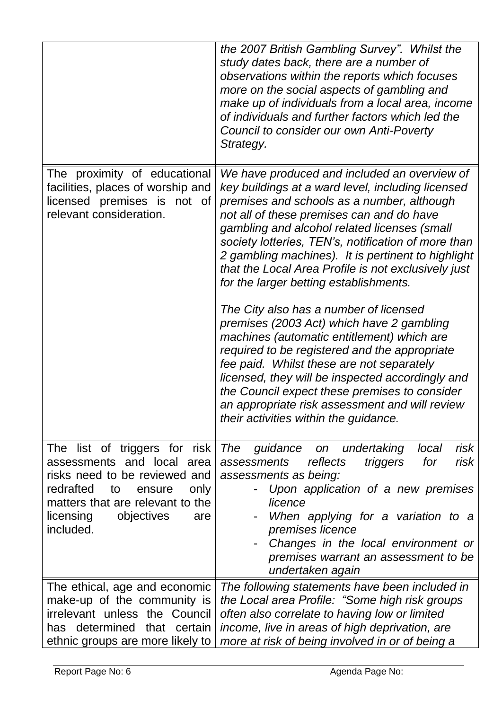|                                                                                                                                                                                                                      | the 2007 British Gambling Survey". Whilst the<br>study dates back, there are a number of<br>observations within the reports which focuses<br>more on the social aspects of gambling and<br>make up of individuals from a local area, income<br>of individuals and further factors which led the<br>Council to consider our own Anti-Poverty<br>Strategy.                                                                                                                                                                                                                                                                                                                                                                                                                                                                                                                                      |
|----------------------------------------------------------------------------------------------------------------------------------------------------------------------------------------------------------------------|-----------------------------------------------------------------------------------------------------------------------------------------------------------------------------------------------------------------------------------------------------------------------------------------------------------------------------------------------------------------------------------------------------------------------------------------------------------------------------------------------------------------------------------------------------------------------------------------------------------------------------------------------------------------------------------------------------------------------------------------------------------------------------------------------------------------------------------------------------------------------------------------------|
| The proximity of educational<br>facilities, places of worship and<br>licensed premises is not of<br>relevant consideration.                                                                                          | We have produced and included an overview of<br>key buildings at a ward level, including licensed<br>premises and schools as a number, although<br>not all of these premises can and do have<br>gambling and alcohol related licenses (small<br>society lotteries, TEN's, notification of more than<br>2 gambling machines). It is pertinent to highlight<br>that the Local Area Profile is not exclusively just<br>for the larger betting establishments.<br>The City also has a number of licensed<br>premises (2003 Act) which have 2 gambling<br>machines (automatic entitlement) which are<br>required to be registered and the appropriate<br>fee paid. Whilst these are not separately<br>licensed, they will be inspected accordingly and<br>the Council expect these premises to consider<br>an appropriate risk assessment and will review<br>their activities within the guidance. |
| The list of triggers for risk<br>assessments and local area<br>risks need to be reviewed and<br>redrafted<br>only<br>to<br>ensure<br>matters that are relevant to the<br>objectives<br>licensing<br>are<br>included. | <b>The</b><br>guidance<br>undertaking<br>local<br>risk<br><b>on</b><br>reflects<br>for<br>risk<br><i>assessments</i><br>triggers<br>assessments as being:<br>Upon application of a new premises<br>licence<br>When applying for a variation to a<br>premises licence<br>Changes in the local environment or<br>premises warrant an assessment to be<br>undertaken again                                                                                                                                                                                                                                                                                                                                                                                                                                                                                                                       |
| The ethical, age and economic<br>make-up of the community is<br>irrelevant unless the Council<br>has determined<br>that<br>certain<br>ethnic groups are more likely to                                               | The following statements have been included in<br>the Local area Profile: "Some high risk groups<br>often also correlate to having low or limited<br>income, live in areas of high deprivation, are<br>more at risk of being involved in or of being a                                                                                                                                                                                                                                                                                                                                                                                                                                                                                                                                                                                                                                        |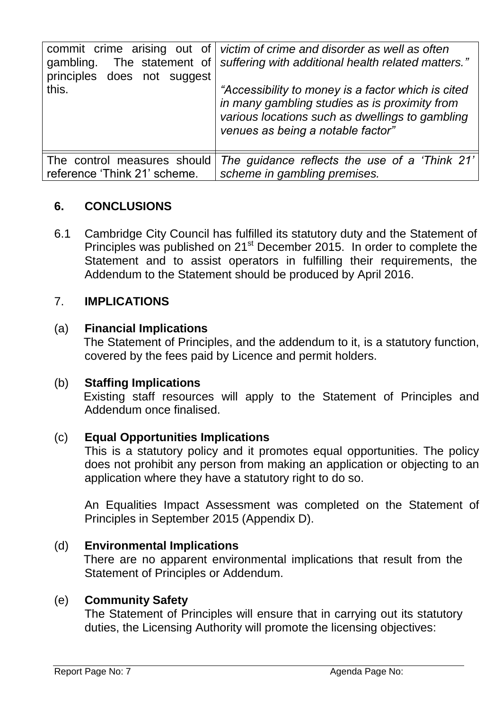| The statement of<br>gambling.<br>principles does not suggest<br>this. | commit crime arising out of $ $ victim of crime and disorder as well as often<br>suffering with additional health related matters."<br>"Accessibility to money is a factor which is cited<br>in many gambling studies as is proximity from<br>various locations such as dwellings to gambling<br>venues as being a notable factor" |
|-----------------------------------------------------------------------|------------------------------------------------------------------------------------------------------------------------------------------------------------------------------------------------------------------------------------------------------------------------------------------------------------------------------------|
| The control measures should                                           | The guidance reflects the use of a 'Think 21'                                                                                                                                                                                                                                                                                      |
| reference 'Think 21' scheme.                                          | scheme in gambling premises.                                                                                                                                                                                                                                                                                                       |

## **6. CONCLUSIONS**

6.1 Cambridge City Council has fulfilled its statutory duty and the Statement of Principles was published on 21<sup>st</sup> December 2015. In order to complete the Statement and to assist operators in fulfilling their requirements, the Addendum to the Statement should be produced by April 2016.

### 7. **IMPLICATIONS**

### (a) **Financial Implications**

The Statement of Principles, and the addendum to it, is a statutory function, covered by the fees paid by Licence and permit holders.

### (b) **Staffing Implications**

 Existing staff resources will apply to the Statement of Principles and Addendum once finalised.

### (c) **Equal Opportunities Implications**

This is a statutory policy and it promotes equal opportunities. The policy does not prohibit any person from making an application or objecting to an application where they have a statutory right to do so.

An Equalities Impact Assessment was completed on the Statement of Principles in September 2015 (Appendix D).

### (d) **Environmental Implications**

 There are no apparent environmental implications that result from the Statement of Principles or Addendum.

### (e) **Community Safety**

The Statement of Principles will ensure that in carrying out its statutory duties, the Licensing Authority will promote the licensing objectives: